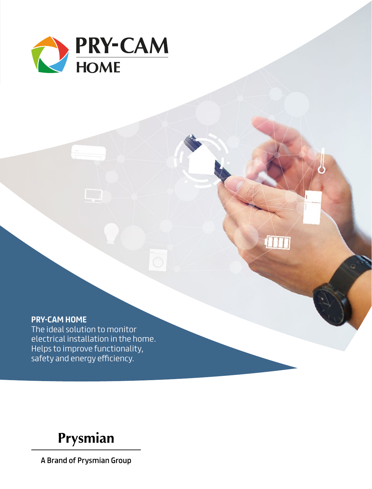

## **PRY-CAM HOME**

The ideal solution to monitor electrical installation in the home. Helps to improve functionality, safety and energy efficiency.

**THE** 

Prysmian

A Brand of Prysmian Group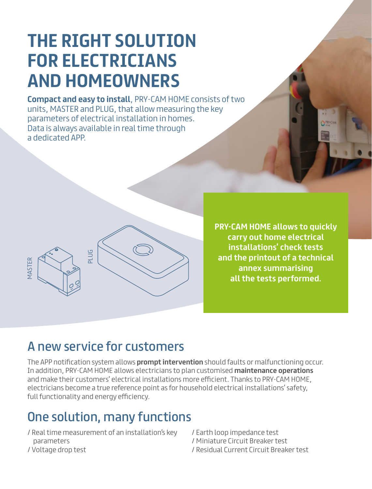# **THE RIGHT SOLUTION FOR ELECTRICIANS AND HOMEOWNERS**

**Compact and easy to install**, PRY-CAM HOME consists of two units, MASTER and PLUG, that allow measuring the key parameters of electrical installation in homes. Data is always available in real time through a dedicated APP.



**PRY-CAM HOME allows to quickly carry out home electrical installations' check tests and the printout of a technical annex summarising all the tests performed.**

# A new service for customers

The APP notification system allows **prompt intervention** should faults or malfunctioning occur. In addition, PRY-CAM HOME allows electricians to plan customised **maintenance operations** and make their customers' electrical installations more efficient. Thanks to PRY-CAM HOME, electricians become a true reference point as for household electrical installations' safety, full functionality and energy efficiency.

# One solution, many functions

- / Real time measurement of an installation's key parameters
- / Earth loop impedance test / Miniature Circuit Breaker test
- / Residual Current Circuit Breaker test

/ Voltage drop test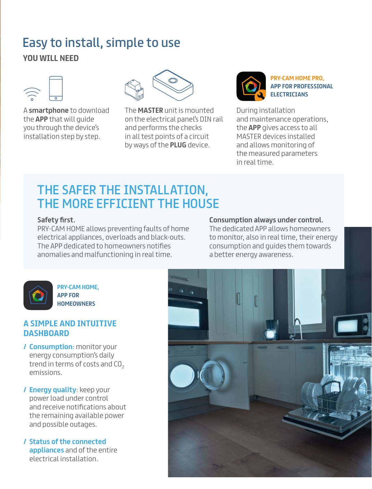# **YOU WILL NEED** Easy to install, simple to use



A **smartphone** to download the **APP** that will guide you through the device's installation step by step.



The **MASTER** unit is mounted on the electrical panel's DIN rail and performs the checks in all test points of a circuit by ways of the **PLUG** device.



**PRY-CAM HOME PRO, APP FOR PROFESSIONAL ELECTRICIANS**

During installation and maintenance operations, the **APP** gives access to all MASTER devices installed and allows monitoring of the measured parameters in real time.

# THE SAFER THE INSTALLATION, THE MORE EFFICIENT THE HOUSE

### **Safety first.**

PRY-CAM HOME allows preventing faults of home electrical appliances, overloads and black-outs. The APP dedicated to homeowners notifies anomalies and malfunctioning in real time.

### **Consumption always under control.**

The dedicated APP allows homeowners to monitor, also in real time, their energy consumption and guides them towards a better energy awareness.



**PRY-CAM HOME, APP FOR HOMEOWNERS** 

# **A SIMPLE AND INTUITIVE DASHBOARD**

- **/ Consumption**: monitor your energy consumption's daily trend in terms of costs and CO<sub>2</sub> emissions.
- **/ Energy quality**: keep your power load under control and receive notifications about the remaining available power and possible outages.
- **/ Status of the connected appliances** and of the entire electrical installation.